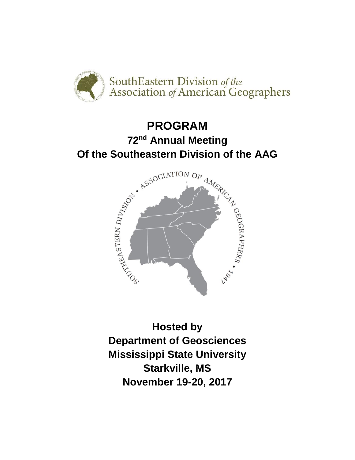

# **PROGRAM 72nd Annual Meeting**



**Hosted by Department of Geosciences Mississippi State University Starkville, MS November 19-20, 2017**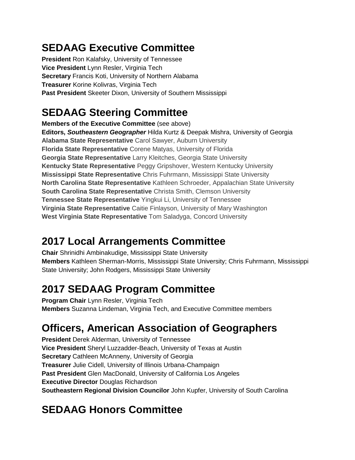### **SEDAAG Executive Committee**

**President** Ron Kalafsky, University of Tennessee **Vice President** Lynn Resler, Virginia Tech **Secretary** Francis Koti, University of Northern Alabama **Treasurer** Korine Kolivras, Virginia Tech **Past President** Skeeter Dixon, University of Southern Mississippi

### **SEDAAG Steering Committee**

**Members of the Executive Committee** (see above) **Editors,** *Southeastern Geographer* Hilda Kurtz & Deepak Mishra, University of Georgia **Alabama State Representative** Carol Sawyer, Auburn University **Florida State Representative** Corene Matyas, University of Florida **Georgia State Representative** Larry Kleitches, Georgia State University **Kentucky State Representative** Peggy Gripshover, Western Kentucky University **Mississippi State Representative** Chris Fuhrmann, Mississippi State University **North Carolina State Representative** Kathleen Schroeder, Appalachian State University **South Carolina State Representative** Christa Smith, Clemson University **Tennessee State Representative** Yingkui Li, University of Tennessee **Virginia State Representative** Caitie Finlayson, University of Mary Washington **West Virginia State Representative** Tom Saladyga, Concord University

### **2017 Local Arrangements Committee**

**Chair** Shrinidhi Ambinakudige, Mississippi State University **Members** Kathleen Sherman-Morris, Mississippi State University; Chris Fuhrmann, Mississippi State University; John Rodgers, Mississippi State University

### **2017 SEDAAG Program Committee**

**Program Chair** Lynn Resler, Virginia Tech **Members** Suzanna Lindeman, Virginia Tech, and Executive Committee members

### **Officers, American Association of Geographers**

**President** Derek Alderman, University of Tennessee **Vice President** Sheryl Luzzadder-Beach, University of Texas at Austin **Secretary** Cathleen McAnneny, University of Georgia **Treasurer** Julie Cidell, University of Illinois Urbana-Champaign **Past President** Glen MacDonald, University of California Los Angeles **Executive Director** Douglas Richardson **Southeastern Regional Division Councilor** John Kupfer, University of South Carolina

### **SEDAAG Honors Committee**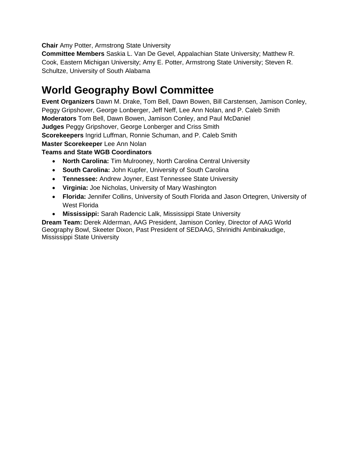**Chair** Amy Potter, Armstrong State University

**Committee Members** Saskia L. Van De Gevel, Appalachian State University; Matthew R. Cook, Eastern Michigan University; Amy E. Potter, Armstrong State University; Steven R. Schultze, University of South Alabama

### **World Geography Bowl Committee**

**Event Organizers** Dawn M. Drake, Tom Bell, Dawn Bowen, Bill Carstensen, Jamison Conley, Peggy Gripshover, George Lonberger, Jeff Neff, Lee Ann Nolan, and P. Caleb Smith **Moderators** Tom Bell, Dawn Bowen, Jamison Conley, and Paul McDaniel **Judges** Peggy Gripshover, George Lonberger and Criss Smith **Scorekeepers** Ingrid Luffman, Ronnie Schuman, and P. Caleb Smith **Master Scorekeeper** Lee Ann Nolan

#### **Teams and State WGB Coordinators**

- **North Carolina:** Tim Mulrooney, North Carolina Central University
- **South Carolina:** John Kupfer, University of South Carolina
- **Tennessee:** Andrew Joyner, East Tennessee State University
- **Virginia:** Joe Nicholas, University of Mary Washington
- **Florida:** Jennifer Collins, University of South Florida and Jason Ortegren, University of West Florida
- **Mississippi:** Sarah Radencic Lalk, Mississippi State University

**Dream Team:** Derek Alderman, AAG President, Jamison Conley, Director of AAG World Geography Bowl, Skeeter Dixon, Past President of SEDAAG, Shrinidhi Ambinakudige, Mississippi State University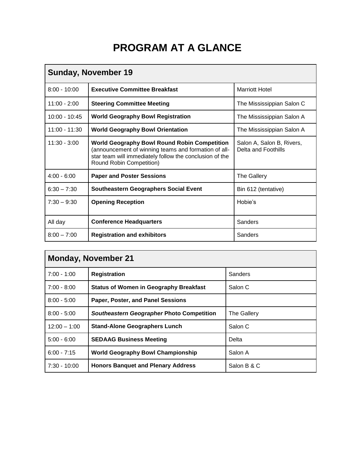### **PROGRAM AT A GLANCE**

| <b>Sunday, November 19</b> |                                                                                                                                                                                                    |                                                  |  |
|----------------------------|----------------------------------------------------------------------------------------------------------------------------------------------------------------------------------------------------|--------------------------------------------------|--|
| $8:00 - 10:00$             | <b>Executive Committee Breakfast</b>                                                                                                                                                               | <b>Marriott Hotel</b>                            |  |
| $11:00 - 2:00$             | <b>Steering Committee Meeting</b>                                                                                                                                                                  | The Mississippian Salon C                        |  |
| $10:00 - 10:45$            | <b>World Geography Bowl Registration</b>                                                                                                                                                           | The Mississippian Salon A                        |  |
| $11:00 - 11:30$            | <b>World Geography Bowl Orientation</b>                                                                                                                                                            | The Mississippian Salon A                        |  |
| $11:30 - 3:00$             | <b>World Geography Bowl Round Robin Competition</b><br>(announcement of winning teams and formation of all-<br>star team will immediately follow the conclusion of the<br>Round Robin Competition) | Salon A, Salon B, Rivers,<br>Delta and Foothills |  |
| $4:00 - 6:00$              | <b>Paper and Poster Sessions</b>                                                                                                                                                                   | <b>The Gallery</b>                               |  |
| $6:30 - 7:30$              | <b>Southeastern Geographers Social Event</b>                                                                                                                                                       | Bin 612 (tentative)                              |  |
| $7:30 - 9:30$              | <b>Opening Reception</b>                                                                                                                                                                           | Hobie's                                          |  |
| All day                    | <b>Conference Headquarters</b>                                                                                                                                                                     | <b>Sanders</b>                                   |  |
| $8:00 - 7:00$              | <b>Registration and exhibitors</b>                                                                                                                                                                 | Sanders                                          |  |

| <b>Monday, November 21</b> |                                               |             |  |
|----------------------------|-----------------------------------------------|-------------|--|
| $7:00 - 1:00$              | <b>Registration</b>                           | Sanders     |  |
| $7:00 - 8:00$              | <b>Status of Women in Geography Breakfast</b> | Salon C     |  |
| $8:00 - 5:00$              | Paper, Poster, and Panel Sessions             |             |  |
| $8:00 - 5:00$              | Southeastern Geographer Photo Competition     | The Gallery |  |
| $12:00 - 1:00$             | <b>Stand-Alone Geographers Lunch</b>          | Salon C     |  |
| $5:00 - 6:00$              | <b>SEDAAG Business Meeting</b>                | Delta       |  |
| $6:00 - 7:15$              | <b>World Geography Bowl Championship</b>      | Salon A     |  |
| $7:30 - 10:00$             | <b>Honors Banquet and Plenary Address</b>     | Salon B & C |  |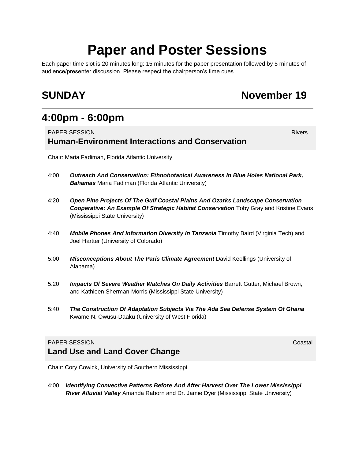## **Paper and Poster Sessions**

Each paper time slot is 20 minutes long: 15 minutes for the paper presentation followed by 5 minutes of audience/presenter discussion. Please respect the chairperson's time cues.

### **SUNDAY** November 19

### **4:00pm - 6:00pm**

#### **PAPER SESSION** Rivers **Rivers Rivers Human-Environment Interactions and Conservation**

Chair: Maria Fadiman, Florida Atlantic University

- 4:00 *Outreach And Conservation: Ethnobotanical Awareness In Blue Holes National Park, Bahamas* Maria Fadiman (Florida Atlantic University)
- 4:20 *Open Pine Projects Of The Gulf Coastal Plains And Ozarks Landscape Conservation*  **Cooperative: An Example Of Strategic Habitat Conservation** Toby Gray and Kristine Evans (Mississippi State University)
- 4:40 *Mobile Phones And Information Diversity In Tanzania* Timothy Baird (Virginia Tech) and Joel Hartter (University of Colorado)
- 5:00 *Misconceptions About The Paris Climate Agreement* David Keellings (University of Alabama)
- 5:20 *Impacts Of Severe Weather Watches On Daily Activities* Barrett Gutter, Michael Brown, and Kathleen Sherman-Morris (Mississippi State University)
- 5:40 *The Construction Of Adaptation Subjects Via The Ada Sea Defense System Of Ghana*  Kwame N. Owusu-Daaku (University of West Florida)

#### **PAPER SESSION** COASTAL CONTROL CONTROL COASTAL COASTAL COASTAL COASTAL COASTAL COASTAL COASTAL COASTAL COASTAL COASTAL COASTAL COASTAL COASTAL COASTAL COASTAL COASTAL COASTAL COASTAL COASTAL COASTAL COASTAL COASTAL COASTA **Land Use and Land Cover Change**

Chair: Cory Cowick, University of Southern Mississippi

4:00 *Identifying Convective Patterns Before And After Harvest Over The Lower Mississippi River Alluvial Valley* Amanda Raborn and Dr. Jamie Dyer (Mississippi State University)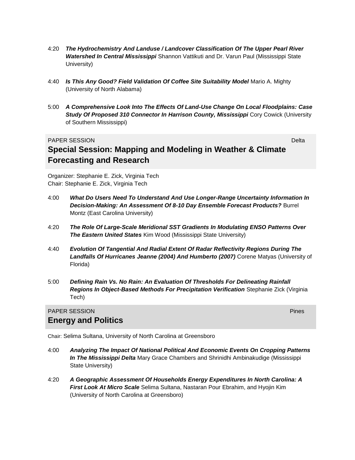- 4:20 *The Hydrochemistry And Landuse / Landcover Classification Of The Upper Pearl River Watershed In Central Mississippi* Shannon Vattikuti and Dr. Varun Paul (Mississippi State University)
- 4:40 *Is This Any Good? Field Validation Of Coffee Site Suitability Model* Mario A. Mighty (University of North Alabama)
- 5:00 *A Comprehensive Look Into The Effects Of Land-Use Change On Local Floodplains: Case Study Of Proposed 310 Connector In Harrison County, Mississippi* Cory Cowick (University of Southern Mississippi)

#### **PAPER SESSION DELTA DEL SEGUIDO DE L'ANNO DEL SEGUIDO DE L'ANNO DEL SEGUIDO DE L'ANNO DEL SEGUIDO DE L'ANNO DE**<br>Del también de l'Anno Del Santo Del Santo Del Santo Del Santo Del Santo Del Santo Del Santo Del Santo Del San **Special Session: Mapping and Modeling in Weather & Climate Forecasting and Research**

Organizer: Stephanie E. Zick, Virginia Tech Chair: Stephanie E. Zick, Virginia Tech

- 4:00 *What Do Users Need To Understand And Use Longer-Range Uncertainty Information In Decision-Making: An Assessment Of 8-10 Day Ensemble Forecast Products?* Burrel Montz (East Carolina University)
- 4:20 *The Role Of Large-Scale Meridional SST Gradients In Modulating ENSO Patterns Over The Eastern United States* Kim Wood (Mississippi State University)
- 4:40 *Evolution Of Tangential And Radial Extent Of Radar Reflectivity Regions During The Landfalls Of Hurricanes Jeanne (2004) And Humberto (2007)* Corene Matyas (University of Florida)
- 5:00 *Defining Rain Vs. No Rain: An Evaluation Of Thresholds For Delineating Rainfall Regions In Object-Based Methods For Precipitation Verification* Stephanie Zick (Virginia Tech)

#### PAPER SESSION Pines **Energy and Politics**

Chair: Selima Sultana, University of North Carolina at Greensboro

- 4:00 *Analyzing The Impact Of National Political And Economic Events On Cropping Patterns In The Mississippi Delta* Mary Grace Chambers and Shrinidhi Ambinakudige (Mississippi State University)
- 4:20 *A Geographic Assessment Of Households Energy Expenditures In North Carolina: A First Look At Micro Scale* Selima Sultana, Nastaran Pour Ebrahim, and Hyojin Kim (University of North Carolina at Greensboro)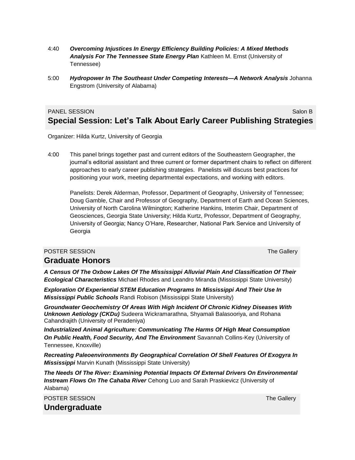- 4:40 *Overcoming Injustices In Energy Efficiency Building Policies: A Mixed Methods Analysis For The Tennessee State Energy Plan* Kathleen M. Ernst (University of Tennessee)
- 5:00 *Hydropower In The Southeast Under Competing Interests—A Network Analysis* Johanna Engstrom (University of Alabama)

#### PANEL SESSION Salon B CONTROL SESSION SALON BELLEVILLE AND SALON BELLEVILLE AND SALON BELLEVILLE AND SALON BELL **Special Session: Let's Talk About Early Career Publishing Strategies**

Organizer: Hilda Kurtz, University of Georgia

4:00 This panel brings together past and current editors of the Southeastern Geographer, the journal's editorial assistant and three current or former department chairs to reflect on different approaches to early career publishing strategies. Panelists will discuss best practices for positioning your work, meeting departmental expectations, and working with editors.

Panelists: Derek Alderman, Professor, Department of Geography, University of Tennessee; Doug Gamble, Chair and Professor of Geography, Department of Earth and Ocean Sciences, University of North Carolina Wilmington; Katherine Hankins, Interim Chair, Department of Geosciences, Georgia State University; Hilda Kurtz, Professor, Department of Geography, University of Georgia; Nancy O'Hare, Researcher, National Park Service and University of Georgia

#### **POSTER SESSION** The Gallery Contract of the Gallery Contract of the Gallery Contract of the Gallery Contract of the Gallery **Graduate Honors**

*A Census Of The Oxbow Lakes Of The Mississippi Alluvial Plain And Classification Of Their Ecological Characteristics* Michael Rhodes and Leandro Miranda (Mississippi State University)

*Exploration Of Experiential STEM Education Programs In Mississippi And Their Use In Mississippi Public Schools* Randi Robison (Mississippi State University)

*Groundwater Geochemistry Of Areas With High Incident Of Chronic Kidney Diseases With Unknown Aetiology (CKDu)* Sudeera Wickramarathna, Shyamali Balasooriya, and Rohana Cahandrajith (University of Peradeniya)

*Industrialized Animal Agriculture: Communicating The Harms Of High Meat Consumption On Public Health, Food Security, And The Environment* Savannah Collins-Key (University of Tennessee, Knoxville)

*Recreating Paleoenvironments By Geographical Correlation Of Shell Features Of Exogyra In Mississippi* Marvin Kunath (Mississippi State University)

*The Needs Of The River: Examining Potential Impacts Of External Drivers On Environmental Instream Flows On The Cahaba River* Cehong Luo and Sarah Praskievicz (University of Alabama)

**POSTER SESSION** THE GALLERY CONTROL CONTROL CONTROL CONTROL CONTROL CONTROL CONTROL CONTROL CONTROL CONTROL CONTROL CONTROL CONTROL CONTROL CONTROL CONTROL CONTROL CONTROL CONTROL CONTROL CONTROL CONTROL CONTROL CONTROL C **Undergraduate**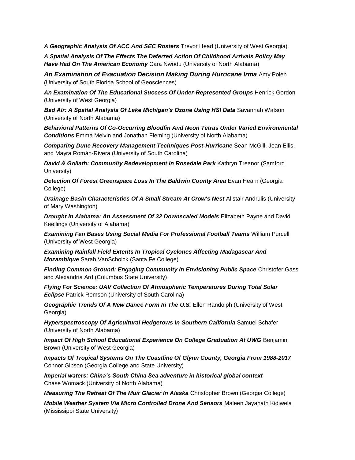*A Geographic Analysis Of ACC And SEC Rosters* Trevor Head (University of West Georgia)

*A Spatial Analysis Of The Effects The Deferred Action Of Childhood Arrivals Policy May Have Had On The American Economy* Cara Nwodu (University of North Alabama)

*An Examination of Evacuation Decision Making During Hurricane Irma* Amy Polen (University of South Florida School of Geosciences)

*An Examination Of The Educational Success Of Under-Represented Groups* Henrick Gordon (University of West Georgia)

*Bad Air: A Spatial Analysis Of Lake Michigan's Ozone Using HSI Data* Savannah Watson (University of North Alabama)

*Behavioral Patterns Of Co-Occurring Bloodfin And Neon Tetras Under Varied Environmental Conditions* Emma Melvin and Jonathan Fleming (University of North Alabama)

*Comparing Dune Recovery Management Techniques Post-Hurricane* Sean McGill, Jean Ellis, and Mayra Román-Rivera (University of South Carolina)

*David & Goliath: Community Redevelopment In Rosedale Park Kathryn Treanor (Samford***)** University)

*Detection Of Forest Greenspace Loss In The Baldwin County Area* Evan Hearn (Georgia College)

**Drainage Basin Characteristics Of A Small Stream At Crow's Nest Alistair Andrulis (University** of Mary Washington)

*Drought In Alabama: An Assessment Of 32 Downscaled Models* Elizabeth Payne and David Keellings (University of Alabama)

*Examining Fan Bases Using Social Media For Professional Football Teams* William Purcell (University of West Georgia)

*Examining Rainfall Field Extents In Tropical Cyclones Affecting Madagascar And Mozambique* Sarah VanSchoick (Santa Fe College)

*Finding Common Ground: Engaging Community In Envisioning Public Space* Christofer Gass and Alexandria Ard (Columbus State University)

*Flying For Science: UAV Collection Of Atmospheric Temperatures During Total Solar Eclipse* Patrick Remson (University of South Carolina)

*Geographic Trends Of A New Dance Form In The U.S.* Ellen Randolph (University of West Georgia)

*Hyperspectroscopy Of Agricultural Hedgerows In Southern California* Samuel Schafer (University of North Alabama)

*Impact Of High School Educational Experience On College Graduation At UWG* Benjamin Brown (University of West Georgia)

*Impacts Of Tropical Systems On The Coastline Of Glynn County, Georgia From 1988-2017* Connor Gibson (Georgia College and State University)

*Imperial waters: China's South China Sea adventure in historical global context* Chase Womack (University of North Alabama)

*Measuring The Retreat Of The Muir Glacier In Alaska* Christopher Brown (Georgia College)

*Mobile Weather System Via Micro Controlled Drone And Sensors* Maleen Jayanath Kidiwela (Mississippi State University)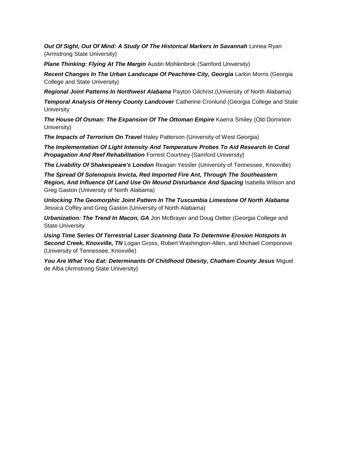*Out Of Sight, Out Of Mind: A Study Of The Historical Markers In Savannah* Linnea Ryan (Armstrong State University)

*Plane Thinking: Flying At The Margin* Austin Mohlenbrok (Samford University)

*Recent Changes In The Urban Landscape Of Peachtree City, Georgia* Larkin Morris (Georgia College and State University)

*Regional Joint Patterns In Northwest Alabama* Payton Gilchrist (University of North Alabama)

*Temporal Analysis Of Henry County Landcover* Catherine Cronlund (Georgia College and State **University** 

*The House Of Osman: The Expansion Of The Ottoman Empire* Kaerra Smiley (Old Dominion University)

*The Impacts of Terrorism On Travel* Haley Patterson (University of West Georgia)

*The Implementation Of Light Intensity And Temperature Probes To Aid Research In Coral*  **Propagation And Reef Rehabilitation** Forrest Courtney (Samford University)

*The Livability Of Shakespeare's London* Reagan Yessler (University of Tennessee, Knoxville)

*The Spread Of Solenopsis Invicta, Red Imported Fire Ant, Through The Southeastern Region, And Influence Of Land Use On Mound Disturbance And Spacing* Isabella Wilson and Greg Gaston (University of North Alabama)

*Unlocking The Geomorphic Joint Pattern In The Tuscumbia Limestone Of North Alabama* Jessica Coffey and Greg Gaston (University of North Alabama)

*Urbanization: The Trend In Macon, GA* Jon McBrayer and Doug Oetter (Georgia College and State University

*Using Time Series Of Terrestrial Laser Scanning Data To Determine Erosion Hotspots In Second Creek, Knoxville, TN* Logan Gross, Robert Washington-Allen, and Michael Componovo (University of Tennessee, Knoxville)

You Are What You Eat: Determinants Of Childhood Obesity, Chatham County Jesus Miguel de Alba (Armstrong State University)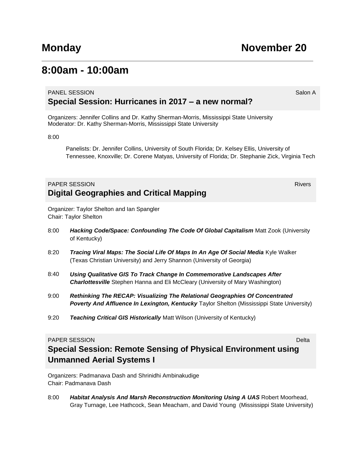### **8:00am - 10:00am**

#### PANEL SESSION SALON SALON SALON SALON SALON SALON SALON SALON SALON SALON SALON SALON SALON SALON SALON SALON S **Special Session: Hurricanes in 2017 – a new normal?**

Organizers: Jennifer Collins and Dr. Kathy Sherman-Morris, Mississippi State University Moderator: Dr. Kathy Sherman-Morris, Mississippi State University

8:00

Panelists: Dr. Jennifer Collins, University of South Florida; Dr. Kelsey Ellis, University of Tennessee, Knoxville; Dr. Corene Matyas, University of Florida; Dr. Stephanie Zick, Virginia Tech

#### **PAPER SESSION** Rivers **Rivers Rivers Digital Geographies and Critical Mapping**

Organizer: Taylor Shelton and Ian Spangler Chair: Taylor Shelton

- 8:00 *Hacking Code/Space: Confounding The Code Of Global Capitalism* Matt Zook (University of Kentucky)
- 8:20 *Tracing Viral Maps: The Social Life Of Maps In An Age Of Social Media* Kyle Walker (Texas Christian University) and Jerry Shannon (University of Georgia)
- 8:40 *Using Qualitative GIS To Track Change In Commemorative Landscapes After Charlottesville* Stephen Hanna and Eli McCleary (University of Mary Washington)
- 9:00 *Rethinking The RECAP: Visualizing The Relational Geographies Of Concentrated*  **Poverty And Affluence In Lexington, Kentucky** Taylor Shelton (Mississippi State University)
- 9:20 *Teaching Critical GIS Historically* Matt Wilson (University of Kentucky)

#### **PAPER SESSION** DELTA CONTROLLER CONTROLLER CONTROLLER CONTROLLER CONTROLLER CONTROLLER CONTROLLER CONTROLLER CONTROLLER CONTROLLER CONTROLLER CONTROLLER CONTROLLER CONTROLLER CONTROLLER CONTROLLER CONTROLLER CONTROLLER CO

### **Special Session: Remote Sensing of Physical Environment using Unmanned Aerial Systems I**

Organizers: Padmanava Dash and Shrinidhi Ambinakudige Chair: Padmanava Dash

8:00 *Habitat Analysis And Marsh Reconstruction Monitoring Using A UAS* Robert Moorhead, Gray Turnage, Lee Hathcock, Sean Meacham, and David Young (Mississippi State University)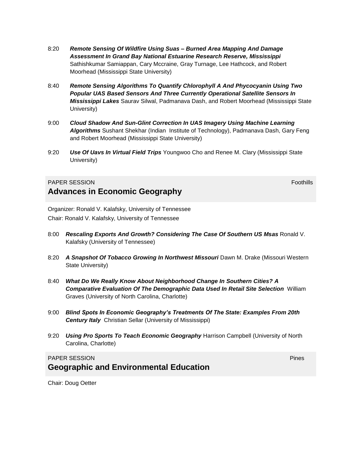- 8:20 *Remote Sensing Of Wildfire Using Suas – Burned Area Mapping And Damage Assessment In Grand Bay National Estuarine Research Reserve, Mississippi* Sathishkumar Samiappan, Cary Mccraine, Gray Turnage, Lee Hathcock, and Robert Moorhead (Mississippi State University)
- 8:40 *Remote Sensing Algorithms To Quantify Chlorophyll A And Phycocyanin Using Two Popular UAS Based Sensors And Three Currently Operational Satellite Sensors In Mississippi Lakes* Saurav Silwal, Padmanava Dash, and Robert Moorhead (Mississippi State University)
- 9:00 *Cloud Shadow And Sun-Glint Correction In UAS Imagery Using Machine Learning Algorithms* Sushant Shekhar (Indian Institute of Technology), Padmanava Dash, Gary Feng and Robert Moorhead (Mississippi State University)
- 9:20 *Use Of Uavs In Virtual Field Trips* Youngwoo Cho and Renee M. Clary (Mississippi State University)

#### **PAPER SESSION** FOOTHILL INTERNATIONAL CONTINUES IN THE SESSION FOOTHILL INTERNATIONAL CONTINUES IN THE SESSION FOOTHILL INTERNATIONAL CONTINUES IN THE SESSION FOOTHILL INTERNATIONAL CONTINUES INTO A SESSION FOOTHILL INTER **Advances in Economic Geography**

Organizer: Ronald V. Kalafsky, University of Tennessee Chair: Ronald V. Kalafsky, University of Tennessee

- 8:00 **Rescaling Exports And Growth? Considering The Case Of Southern US Msas Ronald V.** Kalafsky (University of Tennessee)
- 8:20 *A Snapshot Of Tobacco Growing In Northwest Missouri* Dawn M. Drake (Missouri Western State University)
- 8:40 *What Do We Really Know About Neighborhood Change In Southern Cities? A Comparative Evaluation Of The Demographic Data Used In Retail Site Selection* William Graves (University of North Carolina, Charlotte)
- 9:00 *Blind Spots In Economic Geography's Treatments Of The State: Examples From 20th Century Italy* Christian Sellar (University of Mississippi)
- 9:20 *Using Pro Sports To Teach Economic Geography* Harrison Campbell (University of North Carolina, Charlotte)

#### **PAPER SESSION** PRODUCTS IN THE SESSION PRODUCTS IN THE SESSION PINES IN THE SESSION PRODUCTS IN THE SESSION PRODUCTS IN THE SESSION PRODUCTS IN THE SESSION PRODUCTS IN THE SESSION PRODUCTS IN THE SESSION PRODUCTS IN THE S **Geographic and Environmental Education**

Chair: Doug Oetter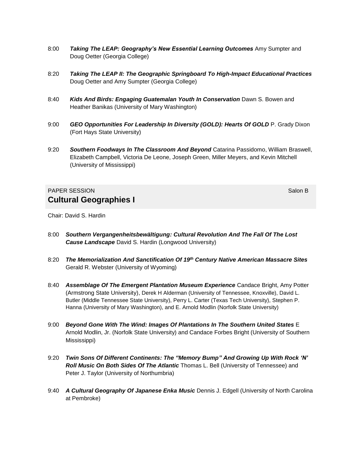- 8:00 *Taking The LEAP: Geography's New Essential Learning Outcomes* Amy Sumpter and Doug Oetter (Georgia College)
- 8:20 *Taking The LEAP II: The Geographic Springboard To High-Impact Educational Practices* Doug Oetter and Amy Sumpter (Georgia College)
- 8:40 *Kids And Birds: Engaging Guatemalan Youth In Conservation* Dawn S. Bowen and Heather Banikas (University of Mary Washington)
- 9:00 *GEO Opportunities For Leadership In Diversity (GOLD): Hearts Of GOLD P. Grady Dixon* (Fort Hays State University)
- 9:20 *Southern Foodways In The Classroom And Beyond* Catarina Passidomo, William Braswell, Elizabeth Campbell, Victoria De Leone, Joseph Green, Miller Meyers, and Kevin Mitchell (University of Mississippi)

#### **PAPER SESSION** SALON BLOCK CONTINUES AND RESIDENCE AND RESIDENCE AND RESIDENCE AND RESIDENCE AND RESIDENCE AND RESIDENCE AND RESIDENCE AND RESIDENCE AND RESIDENCE AND RESIDENCE AND RESIDENCE AND RESIDENCE AND RESIDENCE AN **Cultural Geographies I**

Chair: David S. Hardin

- 8:00 *Southern Vergangenheitsbewältigung: Cultural Revolution And The Fall Of The Lost Cause Landscape* David S. Hardin (Longwood University)
- 8:20 *The Memorialization And Sanctification Of 19th Century Native American Massacre Sites*  Gerald R. Webster (University of Wyoming)
- 8:40 *Assemblage Of The Emergent Plantation Museum Experience* Candace Bright, Amy Potter (Armstrong State University), Derek H Alderman (University of Tennessee, Knoxville), David L. Butler (Middle Tennessee State University), Perry L. Carter (Texas Tech University), Stephen P. Hanna (University of Mary Washington), and E. Arnold Modlin (Norfolk State University)
- 9:00 *Beyond Gone With The Wind: Images Of Plantations In The Southern United States* E Arnold Modlin, Jr. (Norfolk State University) and Candace Forbes Bright (University of Southern Mississippi)
- 9:20 *Twin Sons Of Different Continents: The "Memory Bump" And Growing Up With Rock 'N' Roll Music On Both Sides Of The Atlantic* Thomas L. Bell (University of Tennessee) and Peter J. Taylor (University of Northumbria)
- 9:40 *A Cultural Geography Of Japanese Enka Music* Dennis J. Edgell (University of North Carolina at Pembroke)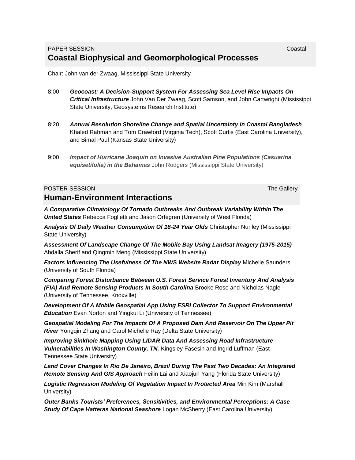#### PAPER SESSION **COASTAL CONTROL Coastal Biophysical and Geomorphological Processes**

Chair: John van der Zwaag, Mississippi State University

- 8:00 *Geocoast: A Decision-Support System For Assessing Sea Level Rise Impacts On Critical Infrastructure* John Van Der Zwaag, Scott Samson, and John Cartwright (Mississippi State University, Geosystems Research Institute)
- 8:20 *Annual Resolution Shoreline Change and Spatial Uncertainty In Coastal Bangladesh* Khaled Rahman and Tom Crawford (Virginia Tech), Scott Curtis (East Carolina University), and Bimal Paul (Kansas State University)
- 9:00 *Impact of Hurricane Joaquin on Invasive Australian Pine Populations (Casuarina equisetifolia) in the Bahamas* John Rodgers (Mississippi State University)

#### **POSTER SESSION** THE GALLERY CONTROL CONTROL CONTROL CONTROL CONTROL CONTROL CONTROL CONTROL CONTROL CONTROL CONTROL CONTROL CONTROL CONTROL CONTROL CONTROL CONTROL CONTROL CONTROL CONTROL CONTROL CONTROL CONTROL CONTROL C **Human-Environment Interactions**

*A Comparative Climatology Of Tornado Outbreaks And Outbreak Variability Within The United States* Rebecca Foglietti and Jason Ortegren (University of West Florida)

*Analysis Of Daily Weather Consumption Of 18-24 Year Olds* Christopher Nunley (Mississippi State University)

*Assessment Of Landscape Change Of The Mobile Bay Using Landsat Imagery (1975-2015)* Abdalla Sherif and Qingmin Meng (Mississippi State University)

*Factors Influencing The Usefulness Of The NWS Website Radar Display* Michelle Saunders (University of South Florida)

*Comparing Forest Disturbance Between U.S. Forest Service Forest Inventory And Analysis (FIA) And Remote Sensing Products In South Carolina* Brooke Rose and Nicholas Nagle (University of Tennessee, Knoxville)

*Development Of A Mobile Geospatial App Using ESRI Collector To Support Environmental Education* Evan Norton and Yingkui Li (University of Tennessee)

*Geospatial Modeling For The Impacts Of A Proposed Dam And Reservoir On The Upper Pit River* Yongqin Zhang and Carol Michelle Ray (Delta State University)

*Improving Sinkhole Mapping Using LIDAR Data And Assessing Road Infrastructure Vulnerabilities In Washington County, TN.* Kingsley Fasesin and Ingrid Luffman (East Tennessee State University)

*Land Cover Changes In Rio De Janeiro, Brazil During The Past Two Decades: An Integrated Remote Sensing And GIS Approach* Feilin Lai and Xiaojun Yang (Florida State University)

*Logistic Regression Modeling Of Vegetation Impact In Protected Area* Min Kim (Marshall University)

*Outer Banks Tourists' Preferences, Sensitivities, and Environmental Perceptions: A Case Study Of Cape Hatteras National Seashore* Logan McSherry (East Carolina University)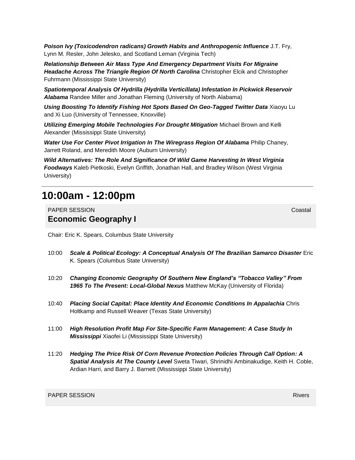*Poison Ivy (Toxicodendron radicans) Growth Habits and Anthropogenic Influence* J.T. Fry, Lynn M. Resler, John Jelesko, and Scotland Leman (Virginia Tech)

*Relationship Between Air Mass Type And Emergency Department Visits For Migraine Headache Across The Triangle Region Of North Carolina* Christopher Elcik and Christopher Fuhrmann (Mississippi State University)

*Spatiotemporal Analysis Of Hydrilla (Hydrilla Verticillata) Infestation In Pickwick Reservoir Alabama* Randee Miller and Jonathan Fleming (University of North Alabama)

*Using Boosting To Identify Fishing Hot Spots Based On Geo-Tagged Twitter Data* Xiaoyu Lu and Xi Luo (University of Tennessee, Knoxville)

*Utilizing Emerging Mobile Technologies For Drought Mitigation* Michael Brown and Kelli Alexander (Mississippi State University)

*Water Use For Center Pivot Irrigation In The Wiregrass Region Of Alabama* Philip Chaney, Jarrett Roland, and Meredith Moore (Auburn University)

*Wild Alternatives: The Role And Significance Of Wild Game Harvesting In West Virginia Foodways* Kaleb Pietkoski, Evelyn Griffith, Jonathan Hall, and Bradley Wilson (West Virginia University)

### **10:00am - 12:00pm**

PAPER SESSION CONTROL CONTROL CONTROL CONTROL CONTROL CONTROL CONTROL CONTROL CONTROL CONTROL CONTROL CONTROL **Economic Geography I**

Chair: Eric K. Spears, Columbus State University

- 10:00 *Scale & Political Ecology: A Conceptual Analysis Of The Brazilian Samarco Disaster* Eric K. Spears (Columbus State University)
- 10:20 *Changing Economic Geography Of Southern New England's "Tobacco Valley" From 1965 To The Present: Local-Global Nexus* Matthew McKay (University of Florida)
- 10:40 *Placing Social Capital: Place Identity And Economic Conditions In Appalachia* Chris Holtkamp and Russell Weaver (Texas State University)
- 11:00 *High Resolution Profit Map For Site-Specific Farm Management: A Case Study In Mississippi* Xiaofei Li (Mississippi State University)
- 11:20 *Hedging The Price Risk Of Corn Revenue Protection Policies Through Call Option: A Spatial Analysis At The County Level* Sweta Tiwari, Shrinidhi Ambinakudige, Keith H. Coble, Ardian Harri, and Barry J. Barnett (Mississippi State University)

**PAPER SESSION** Rivers **Rivers Rivers**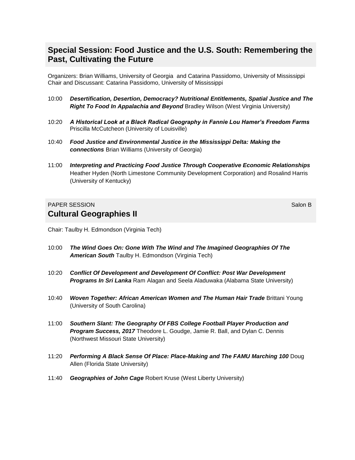#### **Special Session: Food Justice and the U.S. South: Remembering the Past, Cultivating the Future**

Organizers: Brian Williams, University of Georgia and Catarina Passidomo, University of Mississippi Chair and Discussant: Catarina Passidomo, University of Mississippi

- 10:00 *Desertification, Desertion, Democracy? Nutritional Entitlements, Spatial Justice and The Right To Food In Appalachia and Beyond* Bradley Wilson (West Virginia University)
- 10:20 *A Historical Look at a Black Radical Geography in Fannie Lou Hamer's Freedom Farms* Priscilla McCutcheon (University of Louisville)
- 10:40 *Food Justice and Environmental Justice in the Mississippi Delta: Making the connections* Brian Williams (University of Georgia)
- 11:00 *Interpreting and Practicing Food Justice Through Cooperative Economic Relationships* Heather Hyden (North Limestone Community Development Corporation) and Rosalind Harris (University of Kentucky)

#### **PAPER SESSION** Salon B **Cultural Geographies II**

Chair: Taulby H. Edmondson (Virginia Tech)

- 10:00 *The Wind Goes On: Gone With The Wind and The Imagined Geographies Of The American South* Taulby H. Edmondson (Virginia Tech)
- 10:20 *Conflict Of Development and Development Of Conflict: Post War Development Programs In Sri Lanka* Ram Alagan and Seela Aladuwaka (Alabama State University)
- 10:40 *Woven Together: African American Women and The Human Hair Trade Brittani Young* (University of South Carolina)
- 11:00 *Southern Slant: The Geography Of FBS College Football Player Production and Program Success, 2017* Theodore L. Goudge, Jamie R. Ball, and Dylan C. Dennis (Northwest Missouri State University)
- 11:20 *Performing A Black Sense Of Place: Place-Making and The FAMU Marching 100* Doug Allen (Florida State University)
- 11:40 *Geographies of John Cage* Robert Kruse (West Liberty University)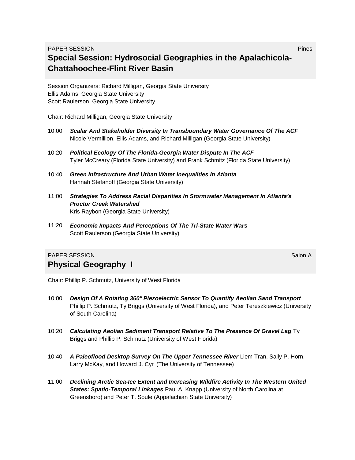#### **PAPER SESSION** PRODUCTS IN A RESIDENCE OF A RESIDENCE OF A RESIDENCE OF A RESIDENCE OF A RESIDENCE OF A RESIDENCE OF A RESIDENCE OF A RESIDENCE OF A RESIDENCE OF A RESIDENCE OF A RESIDENCE OF A RESIDENCE OF A RESIDENCE OF **Special Session: Hydrosocial Geographies in the Apalachicola-Chattahoochee-Flint River Basin**

Session Organizers: Richard Milligan, Georgia State University Ellis Adams, Georgia State University Scott Raulerson, Georgia State University

Chair: Richard Milligan, Georgia State University

- 10:00 *Scalar And Stakeholder Diversity In Transboundary Water Governance Of The ACF* Nicole Vermillion, Ellis Adams, and Richard Milligan (Georgia State University)
- 10:20 *Political Ecology Of The Florida-Georgia Water Dispute In The ACF* Tyler McCreary (Florida State University) and Frank Schmitz (Florida State University)
- 10:40 *Green Infrastructure And Urban Water Inequalities In Atlanta* Hannah Stefanoff (Georgia State University)
- 11:00 *Strategies To Address Racial Disparities In Stormwater Management In Atlanta's Proctor Creek Watershed* Kris Raybon (Georgia State University)
- 11:20 *Economic Impacts And Perceptions Of The Tri-State Water Wars* Scott Raulerson (Georgia State University)

#### **PAPER SESSION** Salon A CONSTRUCTION CONTINUES AND A CONSTRUCT OF THE SALON ASSAULT AND SALON A CONSTRUCT OF THE SALON A **Physical Geography I**

Chair: Phillip P. Schmutz, University of West Florida

- 10:00 *Design Of A Rotating 360° Piezoelectric Sensor To Quantify Aeolian Sand Transport* Phillip P. Schmutz, Ty Briggs (University of West Florida), and Peter Tereszkiewicz (University of South Carolina)
- 10:20 *Calculating Aeolian Sediment Transport Relative To The Presence Of Gravel Lag* Ty Briggs and Phillip P. Schmutz (University of West Florida)
- 10:40 *A Paleoflood Desktop Survey On The Upper Tennessee River* Liem Tran, Sally P. Horn, Larry McKay, and Howard J. Cyr (The University of Tennessee)
- 11:00 *Declining Arctic Sea-Ice Extent and Increasing Wildfire Activity In The Western United States: Spatio-Temporal Linkages* Paul A. Knapp (University of North Carolina at Greensboro) and Peter T. Soule (Appalachian State University)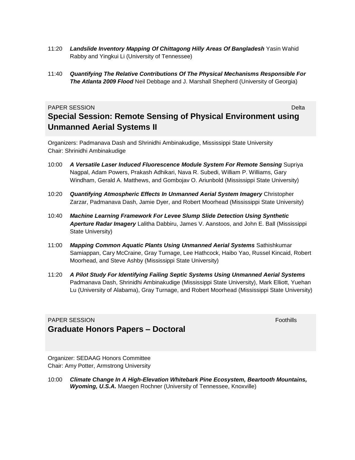- 11:20 *Landslide Inventory Mapping Of Chittagong Hilly Areas Of Bangladesh* Yasin Wahid Rabby and Yingkui Li (University of Tennessee)
- 11:40 *Quantifying The Relative Contributions Of The Physical Mechanisms Responsible For The Atlanta 2009 Flood* Neil Debbage and J. Marshall Shepherd (University of Georgia)

#### **PAPER SESSION** Delta **Delta** Delta Controlleri dell'Internationale della Controlleri della Delta Controlleri dell' **Special Session: Remote Sensing of Physical Environment using Unmanned Aerial Systems II**

Organizers: Padmanava Dash and Shrinidhi Ambinakudige, Mississippi State University Chair: Shrinidhi Ambinakudige

- 10:00 *A Versatile Laser Induced Fluorescence Module System For Remote Sensing* Supriya Nagpal, Adam Powers, Prakash Adhikari, Nava R. Subedi, William P. Williams, Gary Windham, Gerald A. Matthews, and Gombojav O. Ariunbold (Mississippi State University)
- 10:20 *Quantifying Atmospheric Effects In Unmanned Aerial System Imagery* Christopher Zarzar, Padmanava Dash, Jamie Dyer, and Robert Moorhead (Mississippi State University)
- 10:40 *Machine Learning Framework For Levee Slump Slide Detection Using Synthetic Aperture Radar Imagery* Lalitha Dabbiru, James V. Aanstoos, and John E. Ball (Mississippi State University)
- 11:00 *Mapping Common Aquatic Plants Using Unmanned Aerial Systems* Sathishkumar Samiappan, Cary McCraine, Gray Turnage, Lee Hathcock, Haibo Yao, Russel Kincaid, Robert Moorhead, and Steve Ashby (Mississippi State University)
- 11:20 *A Pilot Study For Identifying Failing Septic Systems Using Unmanned Aerial Systems* Padmanava Dash, Shrinidhi Ambinakudige (Mississippi State University), Mark Elliott, Yuehan Lu (University of Alabama), Gray Turnage, and Robert Moorhead (Mississippi State University)

#### **PAPER SESSION** Foothills **Foothills Graduate Honors Papers – Doctoral**

Organizer: SEDAAG Honors Committee Chair: Amy Potter, Armstrong University

10:00 *Climate Change In A High-Elevation Whitebark Pine Ecosystem, Beartooth Mountains, Wyoming, U.S.A.* Maegen Rochner (University of Tennessee, Knoxville)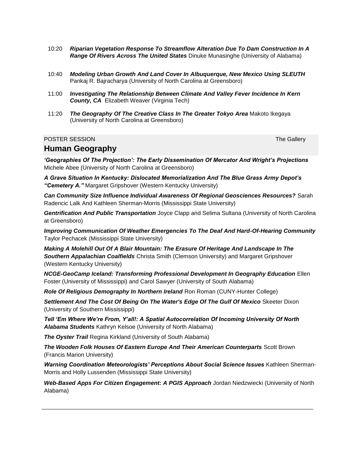- 10:20 *Riparian Vegetation Response To Streamflow Alteration Due To Dam Construction In A Range Of Rivers Across The United States* Dinuke Munasinghe (University of Alabama)
- 10:40 *Modeling Urban Growth And Land Cover In Albuquerque, New Mexico Using SLEUTH* Pankaj R. Bajracharya (University of North Carolina at Greensboro)
- 11:00 *Investigating The Relationship Between Climate And Valley Fever Incidence In Kern County, CA* Elizabeth Weaver (Virginia Tech)
- 11:20 *The Geography Of The Creative Class In The Greater Tokyo Area* Makoto Ikegaya (University of North Carolina at Greensboro)

#### **POSTER SESSION** THE GALLERY CONTROL CONTROL CONTROL CONTROL CONTROL CONTROL CONTROL CONTROL CONTROL CONTROL CONTROL CONTROL CONTROL CONTROL CONTROL CONTROL CONTROL CONTROL CONTROL CONTROL CONTROL CONTROL CONTROL CONTROL C

#### **Human Geography**

*'Geographies Of The Projection': The Early Dissemination Of Mercator And Wright's Projections* Michele Abee (University of North Carolina at Greensboro)

*A Grave Situation In Kentucky: Dislocated Memorialization And The Blue Grass Army Depot's "Cemetery A."* Margaret Gripshover (Western Kentucky University)

*Can Community Size Influence Individual Awareness Of Regional Geosciences Resources?* Sarah Radencic Lalk And Kathleen Sherman-Morris (Mississippi State University)

*Gentrification And Public Transportation* Joyce Clapp and Selima Sultana (University of North Carolina at Greensboro)

*Improving Communication Of Weather Emergencies To The Deaf And Hard-Of-Hearing Community* Taylor Pechacek (Mississippi State University)

*Making A Molehill Out Of A Blair Mountain: The Erasure Of Heritage And Landscape In The Southern Appalachian Coalfields* Christa Smith (Clemson University) and Margaret Gripshover (Western Kentucky University)

*NCGE-GeoCamp Iceland: Transforming Professional Development In Geography Education* Ellen Foster (University of Mississippi) and Carol Sawyer (University of South Alabama)

*Role Of Religious Demography In Northern Ireland* Ron Roman (CUNY-Hunter College)

*Settlement And The Cost Of Being On The Water's Edge Of The Gulf Of Mexico* Skeeter Dixon (University of Southern Mississippi)

*Tell 'Em Where We're From, Y'all!: A Spatial Autocorrelation Of Incoming University Of North Alabama Students* Kathryn Kelsoe (University of North Alabama)

**The Oyster Trail** Regina Kirkland (University of South Alabama)

*The Wooden Folk Houses Of Eastern Europe And Their American Counterparts* Scott Brown (Francis Marion University)

*Warning Coordination Meteorologists' Perceptions About Social Science Issues* Kathleen Sherman-Morris and Holly Lussenden (Mississippi State University)

*Web-Based Apps For Citizen Engagement: A PGIS Approach* Jordan Niedzwiecki (University of North Alabama)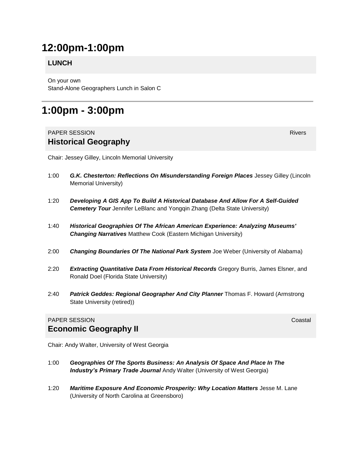### **12:00pm-1:00pm**

#### **LUNCH**

On your own Stand-Alone Geographers Lunch in Salon C

### **1:00pm - 3:00pm**

#### **PAPER SESSION** Rivers **Rivers Rivers Historical Geography**

Chair: Jessey Gilley, Lincoln Memorial University

- 1:00 *G.K. Chesterton: Reflections On Misunderstanding Foreign Places* Jessey Gilley (Lincoln Memorial University)
- 1:20 *Developing A GIS App To Build A Historical Database And Allow For A Self-Guided*  **Cemetery Tour** Jennifer LeBlanc and Yongqin Zhang (Delta State University)
- 1:40 *Historical Geographies Of The African American Experience: Analyzing Museums' Changing Narratives* Matthew Cook (Eastern Michigan University)
- 2:00 *Changing Boundaries Of The National Park System* Joe Weber (University of Alabama)
- 2:20 *Extracting Quantitative Data From Historical Records* Gregory Burris, James Elsner, and Ronald Doel (Florida State University)
- 2:40 *Patrick Geddes: Regional Geographer And City Planner* Thomas F. Howard (Armstrong State University (retired))

#### **PAPER SESSION** CONSTRUCTION CONTINUES AND COASTAL CONTINUES. **Economic Geography II**

Chair: Andy Walter, University of West Georgia

- 1:00 *Geographies Of The Sports Business: An Analysis Of Space And Place In The*  **Industry's Primary Trade Journal** Andy Walter (University of West Georgia)
- 1:20 *Maritime Exposure And Economic Prosperity: Why Location Matters* Jesse M. Lane (University of North Carolina at Greensboro)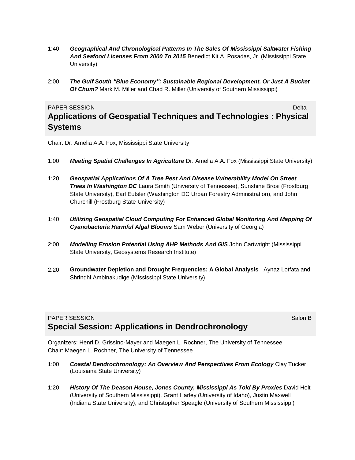- 1:40 *Geographical And Chronological Patterns In The Sales Of Mississippi Saltwater Fishing And Seafood Licenses From 2000 To 2015* Benedict Kit A. Posadas, Jr. (Mississippi State University)
- 2:00 *The Gulf South "Blue Economy": Sustainable Regional Development, Or Just A Bucket Of Chum?* Mark M. Miller and Chad R. Miller (University of Southern Mississippi)

#### **PAPER SESSION** Delta **Delta** Delta Controlleri del controlleri del controlleri del controlleri del controlleri del controlleri del controlleri del controlleri del controlleri del controlleri del controlleri del controller

#### **Applications of Geospatial Techniques and Technologies : Physical Systems**

Chair: Dr. Amelia A.A. Fox, Mississippi State University

- 1:00 *Meeting Spatial Challenges In Agriculture* Dr. Amelia A.A. Fox (Mississippi State University)
- 1:20 *Geospatial Applications Of A Tree Pest And Disease Vulnerability Model On Street*  **Trees In Washington DC** Laura Smith (University of Tennessee), Sunshine Brosi (Frostburg State University), Earl Eutsler (Washington DC Urban Forestry Administration), and John Churchill (Frostburg State University)
- 1:40 *Utilizing Geospatial Cloud Computing For Enhanced Global Monitoring And Mapping Of Cyanobacteria Harmful Algal Blooms* Sam Weber (University of Georgia)
- 2:00 *Modelling Erosion Potential Using AHP Methods And GIS* John Cartwright (Mississippi State University, Geosystems Research Institute)
- 2:20 **Groundwater Depletion and Drought Frequencies: A Global Analysis** Aynaz Lotfata and Shrindhi Ambinakudige (Mississippi State University)

#### **PAPER SESSION** SALON BELOW AND SALON BELOW THE SALON BELOW BY A SALON BELOW BY A SALON BELOW BY A SALON BELOW BY A SALON BELOW BY A SALON BELOW BY A SALON BELOW BY A SALON BY A SALON BY A SALON BY A SALON BY A SALON BY A **Special Session: Applications in Dendrochronology**

Organizers: Henri D. Grissino-Mayer and Maegen L. Rochner, The University of Tennessee Chair: Maegen L. Rochner, The University of Tennessee

- 1:00 *Coastal Dendrochronology: An Overview And Perspectives From Ecology* Clay Tucker (Louisiana State University)
- 1:20 **History Of The Deason House, Jones County, Mississippi As Told By Proxies David Holt** (University of Southern Mississippi), Grant Harley (University of Idaho), Justin Maxwell (Indiana State University), and Christopher Speagle (University of Southern Mississippi)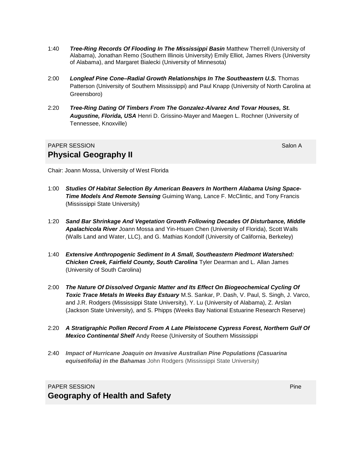- 1:40 *Tree-Ring Records Of Flooding In The Mississippi Basin* Matthew Therrell (University of Alabama), Jonathan Remo (Southern Illinois University) Emily Elliot, James Rivers (University of Alabama), and Margaret Bialecki (University of Minnesota)
- 2:00 *Longleaf Pine Cone–Radial Growth Relationships In The Southeastern U.S.* Thomas Patterson (University of Southern Mississippi) and Paul Knapp (University of North Carolina at Greensboro)
- 2:20 *Tree-Ring Dating Of Timbers From The Gonzalez-Alvarez And Tovar Houses, St. Augustine, Florida, USA* Henri D. Grissino-Mayer and Maegen L. Rochner (University of Tennessee, Knoxville)

#### **PAPER SESSION** Salon A **Physical Geography II**

Chair: Joann Mossa, University of West Florida

- 1:00 *Studies Of Habitat Selection By American Beavers In Northern Alabama Using Space-Time Models And Remote Sensing* Guiming Wang, Lance F. McClintic, and Tony Francis (Mississippi State University)
- 1:20 *Sand Bar Shrinkage And Vegetation Growth Following Decades Of Disturbance, Middle Apalachicola River* Joann Mossa and Yin-Hsuen Chen (University of Florida), Scott Walls (Walls Land and Water, LLC), and G. Mathias Kondolf (University of California, Berkeley)
- 1:40 *Extensive Anthropogenic Sediment In A Small, Southeastern Piedmont Watershed: Chicken Creek, Fairfield County, South Carolina* Tyler Dearman and L. Allan James (University of South Carolina)
- 2:00 *The Nature Of Dissolved Organic Matter and Its Effect On Biogeochemical Cycling Of Toxic Trace Metals In Weeks Bay Estuary* M.S. Sankar, P. Dash, V. Paul, S. Singh, J. Varco, and J.R. Rodgers (Mississippi State University), Y. Lu (University of Alabama), Z. Arslan (Jackson State University), and S. Phipps (Weeks Bay National Estuarine Research Reserve)
- 2:20 *A Stratigraphic Pollen Record From A Late Pleistocene Cypress Forest, Northern Gulf Of Mexico Continental Shelf* Andy Reese (University of Southern Mississippi
- 2:40 *Impact of Hurricane Joaquin on Invasive Australian Pine Populations (Casuarina equisetifolia) in the Bahamas* John Rodgers (Mississippi State University)

#### **PAPER SESSION** PRODUCTS IN THE RESERVE SERVER SESSION CONTINUES. **Geography of Health and Safety**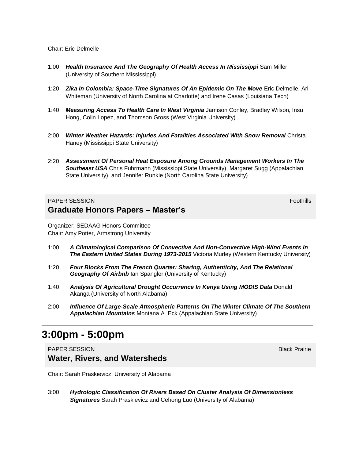#### Chair: Eric Delmelle

- 1:00 *Health Insurance And The Geography Of Health Access In Mississippi* Sam Miller (University of Southern Mississippi)
- 1:20 *Zika In Colombia: Space-Time Signatures Of An Epidemic On The Move* Eric Delmelle, Ari Whiteman (University of North Carolina at Charlotte) and Irene Casas (Louisiana Tech)
- 1:40 *Measuring Access To Health Care In West Virginia* Jamison Conley, Bradley Wilson, Insu Hong, Colin Lopez, and Thomson Gross (West Virginia University)
- 2:00 *Winter Weather Hazards: Injuries And Fatalities Associated With Snow Removal* Christa Haney (Mississippi State University)
- 2:20 *Assessment Of Personal Heat Exposure Among Grounds Management Workers In The Southeast USA* Chris Fuhrmann (Mississippi State University), Margaret Sugg (Appalachian State University), and Jennifer Runkle (North Carolina State University)

#### **PAPER SESSION** FOOTHILL INTERFERING TO A SECOND FOOTHILL INTERFERING TO A SECOND FOOTHILL INTERFERING TO A SECOND FOOTHILL INTERFERING TO A SECOND FOOTHILL INTERFERING TO A SECOND FOOTHILL INTERFERING TO A SECOND FOOTHILL **Graduate Honors Papers – Master's**

Organizer: SEDAAG Honors Committee Chair: Amy Potter, Armstrong University

- 1:00 *A Climatological Comparison Of Convective And Non-Convective High-Wind Events In The Eastern United States During 1973-2015* Victoria Murley (Western Kentucky University)
- 1:20 *Four Blocks From The French Quarter: Sharing, Authenticity, And The Relational Geography Of Airbnb* Ian Spangler (University of Kentucky)
- 1:40 *Analysis Of Agricultural Drought Occurrence In Kenya Using MODIS Data* Donald Akanga (University of North Alabama)
- 2:00 *Influence Of Large-Scale Atmospheric Patterns On The Winter Climate Of The Southern Appalachian Mountains* Montana A. Eck (Appalachian State University)

### **3:00pm - 5:00pm**

PAPER SESSION Black Prairie **Water, Rivers, and Watersheds**

Chair: Sarah Praskievicz, University of Alabama

3:00 *Hydrologic Classification Of Rivers Based On Cluster Analysis Of Dimensionless Signatures* Sarah Praskievicz and Cehong Luo (University of Alabama)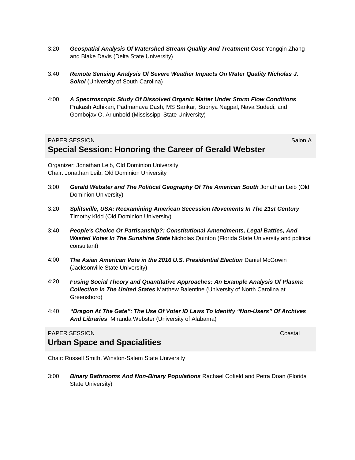- 3:20 *Geospatial Analysis Of Watershed Stream Quality And Treatment Cost* Yongqin Zhang and Blake Davis (Delta State University)
- 3:40 *Remote Sensing Analysis Of Severe Weather Impacts On Water Quality Nicholas J. Sokol* (University of South Carolina)
- 4:00 *A Spectroscopic Study Of Dissolved Organic Matter Under Storm Flow Conditions*  Prakash Adhikari, Padmanava Dash, MS Sankar, Supriya Nagpal, Nava Sudedi, and Gombojav O. Ariunbold (Mississippi State University)

#### **PAPER SESSION** SALON SALON SALON AND SALON ASSAULT AND SALON ASSAULT AND SALON ASSAULT AND SALON ASSAULT AND SALON A **Special Session: Honoring the Career of Gerald Webster**

Organizer: Jonathan Leib, Old Dominion University Chair: Jonathan Leib, Old Dominion University

- 3:00 *Gerald Webster and The Political Geography Of The American South* Jonathan Leib (Old Dominion University)
- 3:20 *Splitsville, USA: Reexamining American Secession Movements In The 21st Century* Timothy Kidd (Old Dominion University)
- 3:40 *People's Choice Or Partisanship?: Constitutional Amendments, Legal Battles, And Wasted Votes In The Sunshine State* Nicholas Quinton (Florida State University and political consultant)
- 4:00 *The Asian American Vote in the 2016 U.S. Presidential Election* Daniel McGowin (Jacksonville State University)
- 4:20 *Fusing Social Theory and Quantitative Approaches: An Example Analysis Of Plasma Collection In The United States* Matthew Balentine (University of North Carolina at Greensboro)
- 4:40 *"Dragon At The Gate": The Use Of Voter ID Laws To Identify "Non-Users" Of Archives And Libraries* Miranda Webster (University of Alabama)

#### PAPER SESSION **Coastal Community Coastal Coastal Coastal** Coastal Coastal Coastal Coastal Coastal Coastal Coastal

### **Urban Space and Spacialities**

Chair: Russell Smith, Winston-Salem State University

3:00 *Binary Bathrooms And Non-Binary Populations* Rachael Cofield and Petra Doan (Florida State University)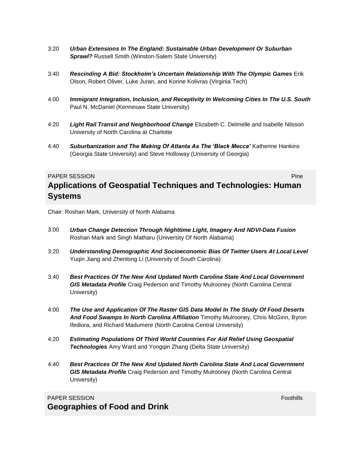- 3:20 *Urban Extensions In The England: Sustainable Urban Development Or Suburban*  **Sprawl?** Russell Smith (Winston-Salem State University)
- 3:40 *Rescinding A Bid: Stockholm's Uncertain Relationship With The Olympic Games* Erik Olson, Robert Oliver, Luke Juran, and Korine Kolivras (Virginia Tech)
- 4:00 *Immigrant Integration, Inclusion, and Receptivity In Welcoming Cities In The U.S. South*  Paul N. McDaniel (Kennesaw State University)
- 4:20 *Light Rail Transit and Neighborhood Change* Elizabeth C. Delmelle and Isabelle Nilsson University of North Carolina at Charlotte
- 4:40 *Suburbanization and The Making Of Atlanta As The 'Black Mecca'* Katherine Hankins (Georgia State University) and Steve Holloway (University of Georgia)

#### **PAPER SESSION** PAPER SESSION

#### **Applications of Geospatial Techniques and Technologies: Human Systems**

Chair: Roshan Mark, University of North Alabama

- 3:00 *Urban Change Detection Through Nighttime Light, Imagery And NDVI-Data Fusion* Roshan Mark and Singh Matharu (University Of North Alabama)
- 3:20 *Understanding Demographic And Socioeconomic Bias Of Twitter Users At Local Level*  Yuqin Jiang and Zhenlong Li (University of South Carolina)
- 3:40 *Best Practices Of The New And Updated North Carolina State And Local Government GIS Metadata Profile* Craig Pederson and Timothy Mulrooney (North Carolina Central University)
- 4:00 *The Use and Application Of The Raster GIS Data Model In The Study Of Food Deserts And Food Swamps In North Carolina Affiliation* Timothy Mulrooney, Chris McGinn, Byron Ifediora, and Richard Madumere (North Carolina Central University)
- 4:20 *Estimating Populations Of Third World Countries For Aid Relief Using Geospatial Technologies* Amy Ward and Yongqin Zhang (Delta State University)
- 4:40 *Best Practices Of The New And Updated North Carolina State And Local Government GIS Metadata Profile* Craig Pederson and Timothy Mulrooney (North Carolina Central University)

#### **PAPER SESSION** Foothills **Foothills Geographies of Food and Drink**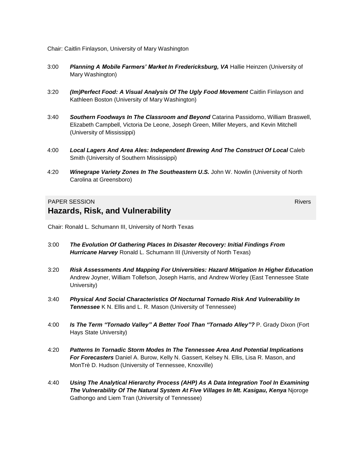Chair: Caitlin Finlayson, University of Mary Washington

- 3:00 *Planning A Mobile Farmers' Market In Fredericksburg, VA* Hallie Heinzen (University of Mary Washington)
- 3:20 *(Im)Perfect Food: A Visual Analysis Of The Ugly Food Movement* Caitlin Finlayson and Kathleen Boston (University of Mary Washington)
- 3:40 *Southern Foodways In The Classroom and Beyond* Catarina Passidomo, William Braswell, Elizabeth Campbell, Victoria De Leone, Joseph Green, Miller Meyers, and Kevin Mitchell (University of Mississippi)
- 4:00 *Local Lagers And Area Ales: Independent Brewing And The Construct Of Local* Caleb Smith (University of Southern Mississippi)
- 4:20 *Winegrape Variety Zones In The Southeastern U.S.* John W. Nowlin (University of North Carolina at Greensboro)

#### **PAPER SESSION** Rivers **Rivers Rivers Hazards, Risk, and Vulnerability**

Chair: Ronald L. Schumann III, University of North Texas

- 3:00 *The Evolution Of Gathering Places In Disaster Recovery: Initial Findings From Hurricane Harvey* Ronald L. Schumann III (University of North Texas)
- 3:20 *Risk Assessments And Mapping For Universities: Hazard Mitigation In Higher Education* Andrew Joyner, William Tollefson, Joseph Harris, and Andrew Worley (East Tennessee State University)
- 3:40 *Physical And Social Characteristics Of Nocturnal Tornado Risk And Vulnerability In Tennessee* K N. Ellis and L. R. Mason (University of Tennessee)
- 4:00 *Is The Term "Tornado Valley" A Better Tool Than "Tornado Alley"?* P. Grady Dixon (Fort Hays State University)
- 4:20 *Patterns In Tornadic Storm Modes In The Tennessee Area And Potential Implications For Forecasters* Daniel A. Burow, Kelly N. Gassert, Kelsey N. Ellis, Lisa R. Mason, and MonTrè D. Hudson (University of Tennessee, Knoxville)
- 4:40 *Using The Analytical Hierarchy Process (AHP) As A Data Integration Tool In Examining The Vulnerability Of The Natural System At Five Villages In Mt. Kasigau, Kenya* Njoroge Gathongo and Liem Tran (University of Tennessee)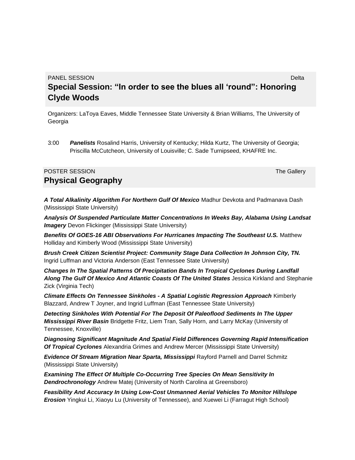**PANEL SESSION** Delta **Delta** Delta Controlleri dell'Internationale della Controlleri della Delta Controlleri dell' **Special Session: "In order to see the blues all 'round": Honoring Clyde Woods**

Organizers: LaToya Eaves, Middle Tennessee State University & Brian Williams, The University of Georgia

3:00 *Panelists* Rosalind Harris, University of Kentucky; Hilda Kurtz, The University of Georgia; Priscilla McCutcheon, University of Louisville; C. Sade Turnipseed, KHAFRE Inc.

#### **POSTER SESSION** The Gallery Contract of the Gallery Contract of the Gallery Contract of the Gallery Contract of the Gallery Contract of the Gallery Contract of the Gallery Contract of the Gallery Contract of the Gallery C **Physical Geography**

*A Total Alkalinity Algorithm For Northern Gulf Of Mexico* Madhur Devkota and Padmanava Dash (Mississippi State University)

*Analysis Of Suspended Particulate Matter Concentrations In Weeks Bay, Alabama Using Landsat Imagery* Devon Flickinger (Mississippi State University)

*Benefits Of GOES-16 ABI Observations For Hurricanes Impacting The Southeast U.S.* Matthew Holliday and Kimberly Wood (Mississippi State University)

*Brush Creek Citizen Scientist Project: Community Stage Data Collection In Johnson City, TN.* Ingrid Luffman and Victoria Anderson (East Tennessee State University)

*Changes In The Spatial Patterns Of Precipitation Bands In Tropical Cyclones During Landfall Along The Gulf Of Mexico And Atlantic Coasts Of The United States* Jessica Kirkland and Stephanie Zick (Virginia Tech)

*Climate Effects On Tennessee Sinkholes - A Spatial Logistic Regression Approach* Kimberly Blazzard, Andrew T Joyner, and Ingrid Luffman (East Tennessee State University)

*Detecting Sinkholes With Potential For The Deposit Of Paleoflood Sediments In The Upper Mississippi River Basin* Bridgette Fritz, Liem Tran, Sally Horn, and Larry McKay (University of Tennessee, Knoxville)

*Diagnosing Significant Magnitude And Spatial Field Differences Governing Rapid Intensification Of Tropical Cyclones* Alexandria Grimes and Andrew Mercer (Mississippi State University)

*Evidence Of Stream Migration Near Sparta, Mississippi* Rayford Parnell and Darrel Schmitz (Mississippi State University)

*Examining The Effect Of Multiple Co-Occurring Tree Species On Mean Sensitivity In Dendrochronology* Andrew Matej (University of North Carolina at Greensboro)

*Feasibility And Accuracy In Using Low-Cost Unmanned Aerial Vehicles To Monitor Hillslope Erosion* Yingkui Li, Xiaoyu Lu (University of Tennessee), and Xuewei Li (Farragut High School)